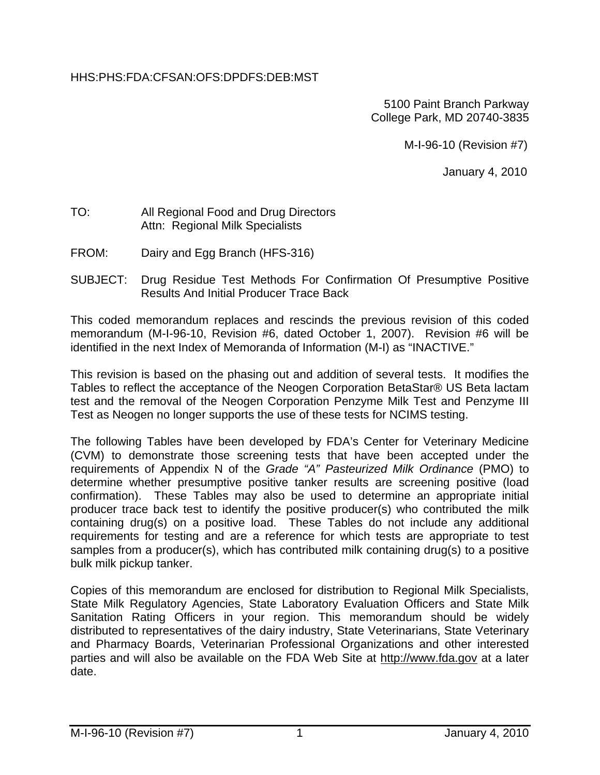## HHS:PHS:FDA:CFSAN:OFS:DPDFS:DEB:MST

5100 Paint Branch Parkway College Park, MD 20740-3835

M-I-96-10 (Revision #7)

January 4, 2010

## TO: All Regional Food and Drug Directors Attn: Regional Milk Specialists

- FROM: Dairy and Egg Branch (HFS-316)
- SUBJECT: Drug Residue Test Methods For Confirmation Of Presumptive Positive Results And Initial Producer Trace Back

This coded memorandum replaces and rescinds the previous revision of this coded memorandum (M-I-96-10, Revision #6, dated October 1, 2007). Revision #6 will be identified in the next Index of Memoranda of Information (M-I) as "INACTIVE."

This revision is based on the phasing out and addition of several tests. It modifies the Tables to reflect the acceptance of the Neogen Corporation BetaStar® US Beta lactam test and the removal of the Neogen Corporation Penzyme Milk Test and Penzyme III Test as Neogen no longer supports the use of these tests for NCIMS testing.

The following Tables have been developed by FDA's Center for Veterinary Medicine (CVM) to demonstrate those screening tests that have been accepted under the requirements of Appendix N of the *Grade "A" Pasteurized Milk Ordinance* (PMO) to determine whether presumptive positive tanker results are screening positive (load confirmation). These Tables may also be used to determine an appropriate initial producer trace back test to identify the positive producer(s) who contributed the milk containing drug(s) on a positive load. These Tables do not include any additional requirements for testing and are a reference for which tests are appropriate to test samples from a producer(s), which has contributed milk containing drug(s) to a positive bulk milk pickup tanker.

Copies of this memorandum are enclosed for distribution to Regional Milk Specialists, State Milk Regulatory Agencies, State Laboratory Evaluation Officers and State Milk Sanitation Rating Officers in your region. This memorandum should be widely distributed to representatives of the dairy industry, State Veterinarians, State Veterinary and Pharmacy Boards, Veterinarian Professional Organizations and other interested parties and will also be available on the FDA Web Site at http://www.fda.gov at a later date.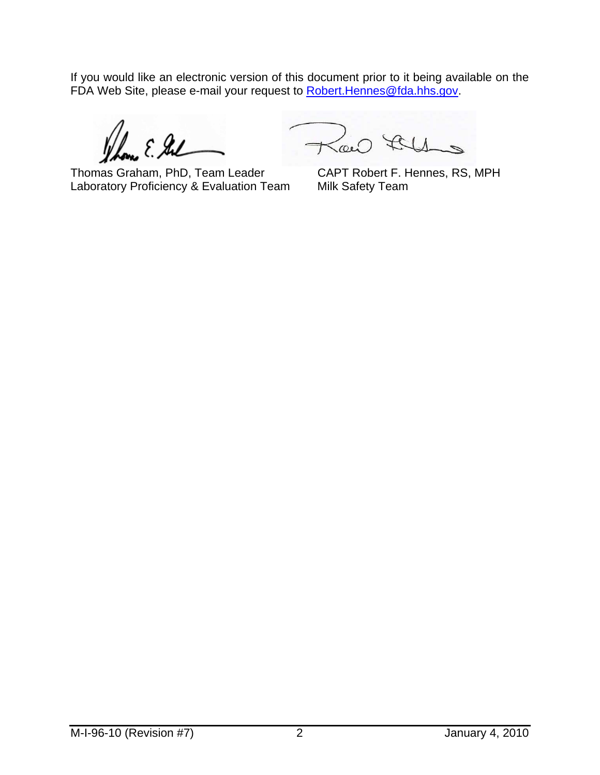If you would like an electronic version of this document prior to it being available on the FDA Web Site, please e-mail your request to **Robert. Hennes@fda.hhs.gov.** 

 $2.84$ 

Thomas Graham, PhD, Team Leader CAPT Robert F. Hennes, RS, MPH Laboratory Proficiency & Evaluation Team Milk Safety Team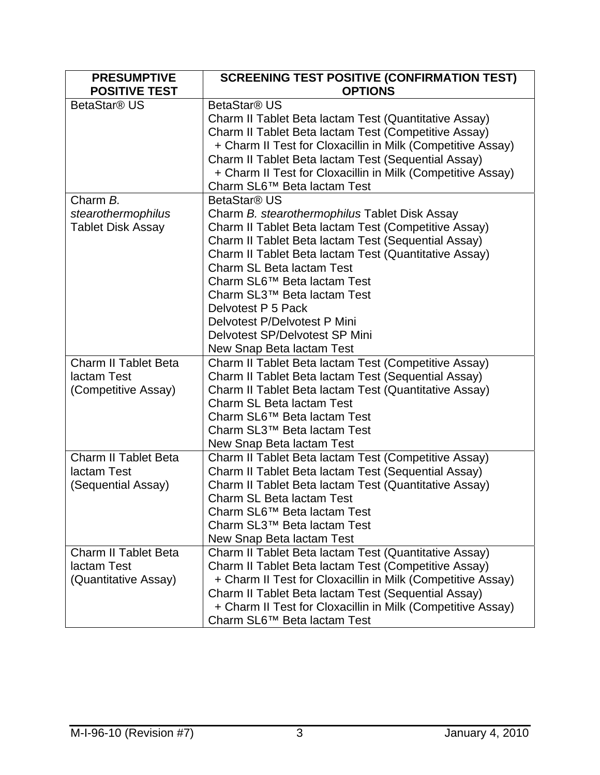| <b>PRESUMPTIVE</b><br><b>POSITIVE TEST</b> | <b>SCREENING TEST POSITIVE (CONFIRMATION TEST)</b><br><b>OPTIONS</b> |
|--------------------------------------------|----------------------------------------------------------------------|
| BetaStar <sup>®</sup> US                   | BetaStar <sup>®</sup> US                                             |
|                                            | Charm II Tablet Beta lactam Test (Quantitative Assay)                |
|                                            | Charm II Tablet Beta lactam Test (Competitive Assay)                 |
|                                            | + Charm II Test for Cloxacillin in Milk (Competitive Assay)          |
|                                            | Charm II Tablet Beta lactam Test (Sequential Assay)                  |
|                                            | + Charm II Test for Cloxacillin in Milk (Competitive Assay)          |
|                                            | Charm SL6™ Beta lactam Test                                          |
| Charm B.                                   | BetaStar <sup>®</sup> US                                             |
| stearothermophilus                         | Charm B. stearothermophilus Tablet Disk Assay                        |
| <b>Tablet Disk Assay</b>                   | Charm II Tablet Beta lactam Test (Competitive Assay)                 |
|                                            | Charm II Tablet Beta lactam Test (Sequential Assay)                  |
|                                            | Charm II Tablet Beta lactam Test (Quantitative Assay)                |
|                                            | Charm SL Beta lactam Test                                            |
|                                            | Charm SL6 <sup>™</sup> Beta lactam Test                              |
|                                            | Charm SL3™ Beta lactam Test                                          |
|                                            | Delvotest P 5 Pack                                                   |
|                                            | Delvotest P/Delvotest P Mini                                         |
|                                            | Delvotest SP/Delvotest SP Mini                                       |
|                                            | New Snap Beta lactam Test                                            |
| <b>Charm II Tablet Beta</b>                | Charm II Tablet Beta lactam Test (Competitive Assay)                 |
| lactam Test                                | Charm II Tablet Beta lactam Test (Sequential Assay)                  |
| (Competitive Assay)                        | Charm II Tablet Beta lactam Test (Quantitative Assay)                |
|                                            | Charm SL Beta lactam Test                                            |
|                                            | Charm SL6™ Beta lactam Test                                          |
|                                            | Charm SL3™ Beta lactam Test                                          |
|                                            | New Snap Beta lactam Test                                            |
| Charm II Tablet Beta                       | Charm II Tablet Beta lactam Test (Competitive Assay)                 |
| lactam Test                                | Charm II Tablet Beta lactam Test (Sequential Assay)                  |
| (Sequential Assay)                         | Charm II Tablet Beta lactam Test (Quantitative Assay)                |
|                                            | Charm SL Beta lactam Test                                            |
|                                            | Charm SL6™ Beta lactam Test                                          |
|                                            | Charm SL3™ Beta lactam Test                                          |
|                                            | New Snap Beta lactam Test                                            |
| <b>Charm II Tablet Beta</b>                | Charm II Tablet Beta lactam Test (Quantitative Assay)                |
| lactam Test                                | Charm II Tablet Beta lactam Test (Competitive Assay)                 |
| (Quantitative Assay)                       | + Charm II Test for Cloxacillin in Milk (Competitive Assay)          |
|                                            | Charm II Tablet Beta lactam Test (Sequential Assay)                  |
|                                            | + Charm II Test for Cloxacillin in Milk (Competitive Assay)          |
|                                            | Charm SL6™ Beta lactam Test                                          |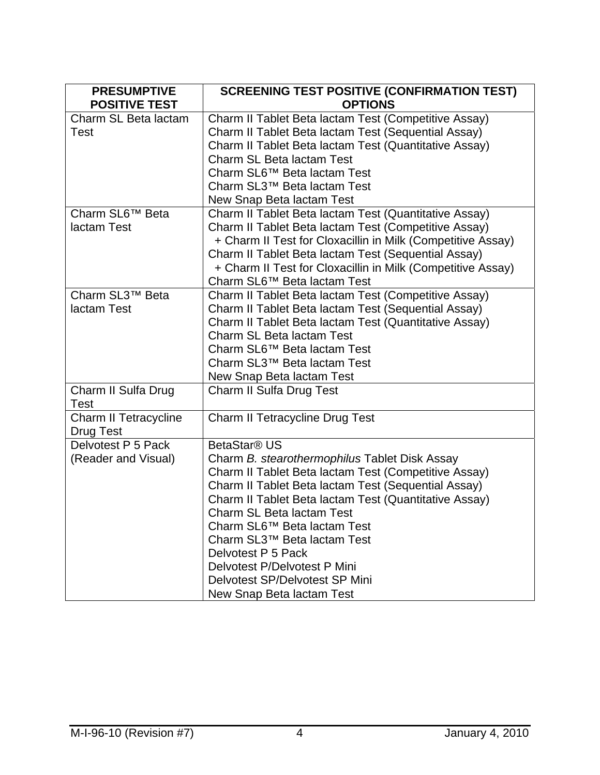| <b>PRESUMPTIVE</b>                        | <b>SCREENING TEST POSITIVE (CONFIRMATION TEST)</b>                                                                                                                                                                                                                                                                                                                                                                                                                |
|-------------------------------------------|-------------------------------------------------------------------------------------------------------------------------------------------------------------------------------------------------------------------------------------------------------------------------------------------------------------------------------------------------------------------------------------------------------------------------------------------------------------------|
| <b>POSITIVE TEST</b>                      | <b>OPTIONS</b>                                                                                                                                                                                                                                                                                                                                                                                                                                                    |
| Charm SL Beta lactam<br><b>Test</b>       | Charm II Tablet Beta lactam Test (Competitive Assay)<br>Charm II Tablet Beta lactam Test (Sequential Assay)<br>Charm II Tablet Beta lactam Test (Quantitative Assay)<br>Charm SL Beta lactam Test                                                                                                                                                                                                                                                                 |
|                                           | Charm SL6 <sup>™</sup> Beta lactam Test<br>Charm SL3™ Beta lactam Test<br>New Snap Beta lactam Test                                                                                                                                                                                                                                                                                                                                                               |
| Charm SL6™ Beta<br>lactam Test            | Charm II Tablet Beta lactam Test (Quantitative Assay)<br>Charm II Tablet Beta lactam Test (Competitive Assay)<br>+ Charm II Test for Cloxacillin in Milk (Competitive Assay)<br>Charm II Tablet Beta lactam Test (Sequential Assay)<br>+ Charm II Test for Cloxacillin in Milk (Competitive Assay)<br>Charm SL6™ Beta lactam Test                                                                                                                                 |
| Charm SL3™ Beta<br>lactam Test            | Charm II Tablet Beta lactam Test (Competitive Assay)<br>Charm II Tablet Beta lactam Test (Sequential Assay)<br>Charm II Tablet Beta lactam Test (Quantitative Assay)<br>Charm SL Beta lactam Test<br>Charm SL6™ Beta lactam Test<br>Charm SL3™ Beta lactam Test<br>New Snap Beta lactam Test                                                                                                                                                                      |
| Charm II Sulfa Drug<br><b>Test</b>        | Charm II Sulfa Drug Test                                                                                                                                                                                                                                                                                                                                                                                                                                          |
| Charm II Tetracycline<br><b>Drug Test</b> | <b>Charm II Tetracycline Drug Test</b>                                                                                                                                                                                                                                                                                                                                                                                                                            |
| Delvotest P 5 Pack<br>(Reader and Visual) | BetaStar <sup>®</sup> US<br>Charm B. stearothermophilus Tablet Disk Assay<br>Charm II Tablet Beta lactam Test (Competitive Assay)<br>Charm II Tablet Beta lactam Test (Sequential Assay)<br>Charm II Tablet Beta lactam Test (Quantitative Assay)<br>Charm SL Beta lactam Test<br>Charm SL6™ Beta lactam Test<br>Charm SL3™ Beta lactam Test<br>Delvotest P 5 Pack<br>Delvotest P/Delvotest P Mini<br>Delvotest SP/Delvotest SP Mini<br>New Snap Beta lactam Test |